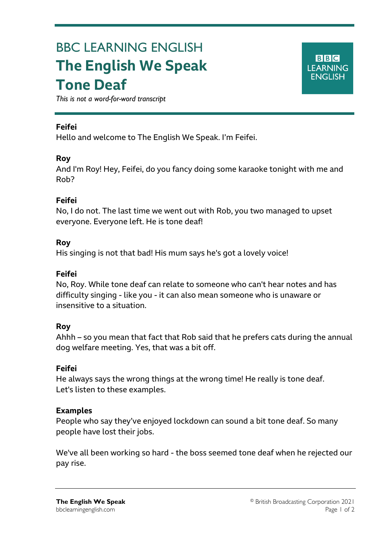# BBC LEARNING ENGLISH **The English We Speak Tone Deaf**



*This is not a word-for-word transcript*

## **Feifei**

Ξ

Hello and welcome to The English We Speak. I'm Feifei.

### **Roy**

And I'm Roy! Hey, Feifei, do you fancy doing some karaoke tonight with me and Rob?

### **Feifei**

No, I do not. The last time we went out with Rob, you two managed to upset everyone. Everyone left. He is tone deaf!

### **Roy**

His singing is not that bad! His mum says he's got a lovely voice!

## **Feifei**

No, Roy. While tone deaf can relate to someone who can't hear notes and has difficulty singing - like you - it can also mean someone who is unaware or insensitive to a situation.

#### **Roy**

Ahhh – so you mean that fact that Rob said that he prefers cats during the annual dog welfare meeting. Yes, that was a bit off.

# **Feifei**

He always says the wrong things at the wrong time! He really is tone deaf. Let's listen to these examples.

#### **Examples**

People who say they've enjoyed lockdown can sound a bit tone deaf. So many people have lost their jobs.

We've all been working so hard - the boss seemed tone deaf when he rejected our pay rise.